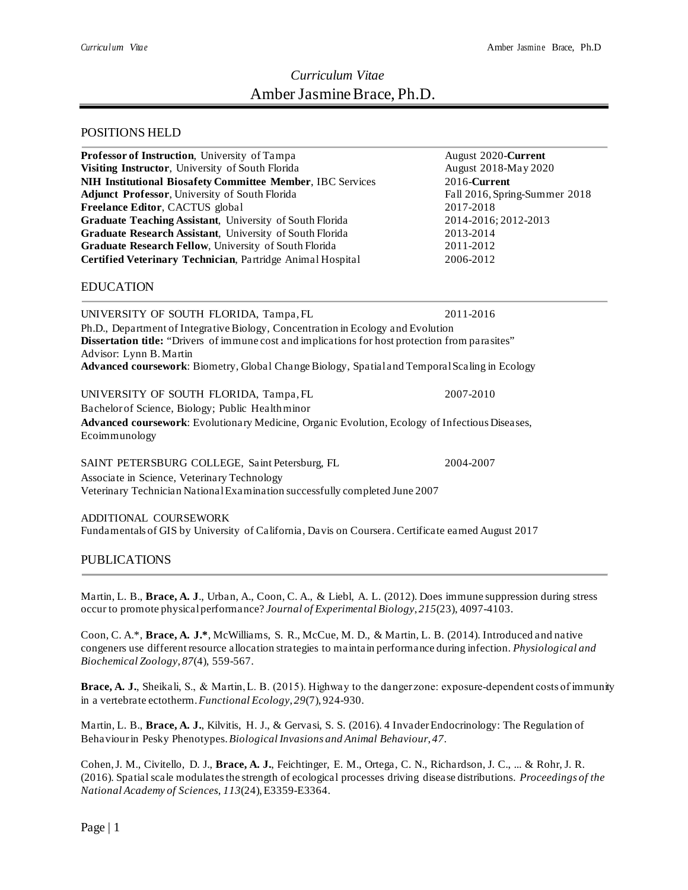# *Curriculum Vitae* Amber Jasmine Brace, Ph.D.

## POSITIONS HELD

| Professor of Instruction, University of Tampa                                                                                                                                                                                                                                                                           | August 2020-Current           |  |
|-------------------------------------------------------------------------------------------------------------------------------------------------------------------------------------------------------------------------------------------------------------------------------------------------------------------------|-------------------------------|--|
| Visiting Instructor, University of South Florida                                                                                                                                                                                                                                                                        | August 2018-May 2020          |  |
| <b>NIH Institutional Biosafety Committee Member, IBC Services</b>                                                                                                                                                                                                                                                       | 2016-Current                  |  |
| Adjunct Professor, University of South Florida                                                                                                                                                                                                                                                                          | Fall 2016, Spring-Summer 2018 |  |
| Freelance Editor, CACTUS global                                                                                                                                                                                                                                                                                         | 2017-2018                     |  |
| Graduate Teaching Assistant, University of South Florida                                                                                                                                                                                                                                                                | 2014-2016; 2012-2013          |  |
| Graduate Research Assistant, University of South Florida                                                                                                                                                                                                                                                                | 2013-2014                     |  |
| Graduate Research Fellow, University of South Florida                                                                                                                                                                                                                                                                   | 2011-2012                     |  |
| Certified Veterinary Technician, Partridge Animal Hospital                                                                                                                                                                                                                                                              | 2006-2012                     |  |
| <b>EDUCATION</b>                                                                                                                                                                                                                                                                                                        |                               |  |
| UNIVERSITY OF SOUTH FLORIDA, Tampa, FL                                                                                                                                                                                                                                                                                  | 2011-2016                     |  |
| Ph.D., Department of Integrative Biology, Concentration in Ecology and Evolution<br><b>Dissertation title:</b> "Drivers of immune cost and implications for host protection from parasites"<br>Advisor: Lynn B. Martin<br>Advanced coursework: Biometry, Global Change Biology, Spatial and Temporal Scaling in Ecology |                               |  |
| UNIVERSITY OF SOUTH FLORIDA, Tampa, FL<br>Bachelor of Science, Biology; Public Healthminor<br>Advanced coursework: Evolutionary Medicine, Organic Evolution, Ecology of Infectious Diseases,                                                                                                                            | 2007-2010                     |  |
| Ecoimmunology                                                                                                                                                                                                                                                                                                           |                               |  |
| SAINT PETERSBURG COLLEGE, Saint Petersburg, FL<br>Associate in Science, Veterinary Technology<br>Veterinary Technician National Examination successfully completed June 2007                                                                                                                                            | 2004-2007                     |  |

ADDITIONAL COURSEWORK Fundamentals of GIS by University of California, Davis on Coursera. Certificate earned August 2017

## PUBLICATIONS

Martin, L. B., **Brace, A. J**., Urban, A., Coon, C. A., & Liebl, A. L. (2012). Does immune suppression during stress occur to promote physical performance? *Journal of Experimental Biology*, *215*(23), 4097-4103.

Coon, C. A.\*, **Brace, A. J.\***, McWilliams, S. R., McCue, M. D., & Martin, L. B. (2014). Introduced and native congeners use different resource allocation strategies to maintain performance during infection. *Physiological and Biochemical Zoology, 87*(4), 559-567.

**Brace, A. J.**, Sheikali, S., & Martin, L. B. (2015). Highway to the danger zone: exposure‐dependent costs of immunity in a vertebrate ectotherm. *Functional Ecology*, *29*(7), 924-930.

Martin, L. B., **Brace, A. J.**, Kilvitis, H. J., & Gervasi, S. S. (2016). 4 Invader Endocrinology: The Regulation of Behaviour in Pesky Phenotypes. *Biological Invasions and Animal Behaviour*, *47*.

Cohen, J. M., Civitello, D. J., **Brace, A. J.**, Feichtinger, E. M., Ortega, C. N., Richardson, J. C., ... & Rohr, J. R. (2016). Spatial scale modulates the strength of ecological processes driving disease distributions. *Proceedings of the National Academy of Sciences*, *113*(24), E3359-E3364.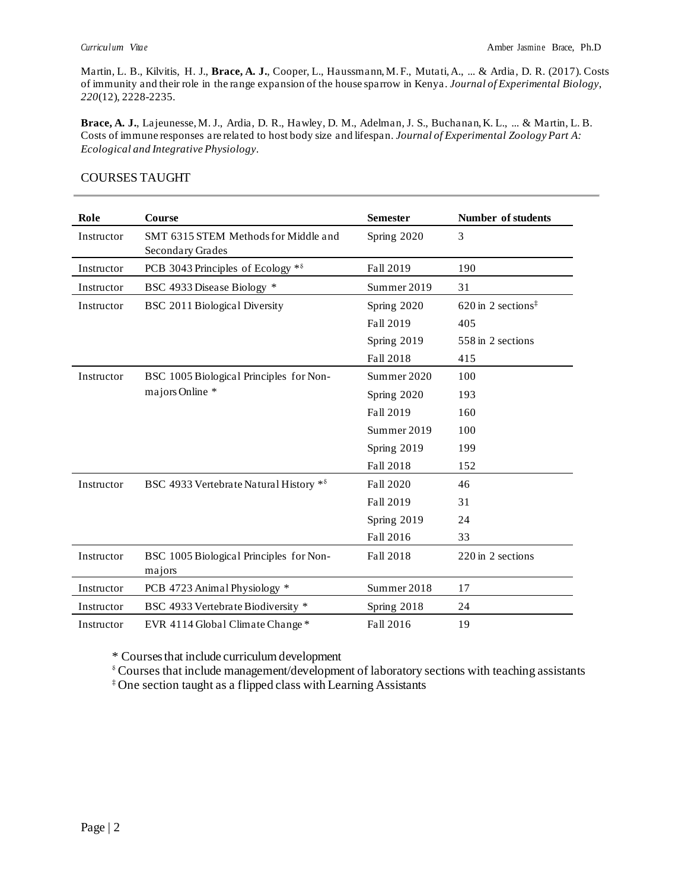Martin, L. B., Kilvitis, H. J., **Brace, A. J.**, Cooper, L., Haussmann, M. F., Mutati, A., ... & Ardia, D. R. (2017). Costs of immunity and their role in the range expansion of the house sparrow in Kenya. *Journal of Experimental Biology*, *220*(12), 2228-2235.

**Brace, A. J.**, Lajeunesse, M. J., Ardia, D. R., Hawley, D. M., Adelman, J. S., Buchanan, K. L., ... & Martin, L. B. Costs of immune responses are related to host body size and lifespan. *Journal of Experimental Zoology Part A: Ecological and Integrative Physiology*.

| Role       | Course                                                   | <b>Semester</b> | Number of students               |
|------------|----------------------------------------------------------|-----------------|----------------------------------|
| Instructor | SMT 6315 STEM Methods for Middle and<br>Secondary Grades | Spring 2020     | 3                                |
| Instructor | PCB 3043 Principles of Ecology *8                        | Fall 2019       | 190                              |
| Instructor | BSC 4933 Disease Biology *                               | Summer 2019     | 31                               |
| Instructor | BSC 2011 Biological Diversity                            | Spring 2020     | $620$ in 2 sections <sup>‡</sup> |
|            |                                                          | Fall 2019       | 405                              |
|            |                                                          | Spring 2019     | 558 in 2 sections                |
|            |                                                          | Fall 2018       | 415                              |
| Instructor | BSC 1005 Biological Principles for Non-                  | Summer 2020     | 100                              |
|            | majors Online *                                          | Spring 2020     | 193                              |
|            |                                                          | Fall 2019       | 160                              |
|            |                                                          | Summer 2019     | 100                              |
|            |                                                          | Spring 2019     | 199                              |
|            |                                                          | Fall 2018       | 152                              |
| Instructor | BSC 4933 Vertebrate Natural History *8                   | Fall 2020       | 46                               |
|            |                                                          | Fall 2019       | 31                               |
|            |                                                          | Spring 2019     | 24                               |
|            |                                                          | Fall 2016       | 33                               |
| Instructor | BSC 1005 Biological Principles for Non-<br>majors        | Fall 2018       | 220 in 2 sections                |
| Instructor | PCB 4723 Animal Physiology *                             | Summer 2018     | 17                               |
| Instructor | BSC 4933 Vertebrate Biodiversity *                       | Spring 2018     | 24                               |
| Instructor | EVR 4114 Global Climate Change *                         | Fall 2016       | 19                               |

#### COURSES TAUGHT

\* Courses that include curriculum development

⸹Courses that include management/development of laboratory sections with teaching assistants

‡ One section taught as a flipped class with Learning Assistants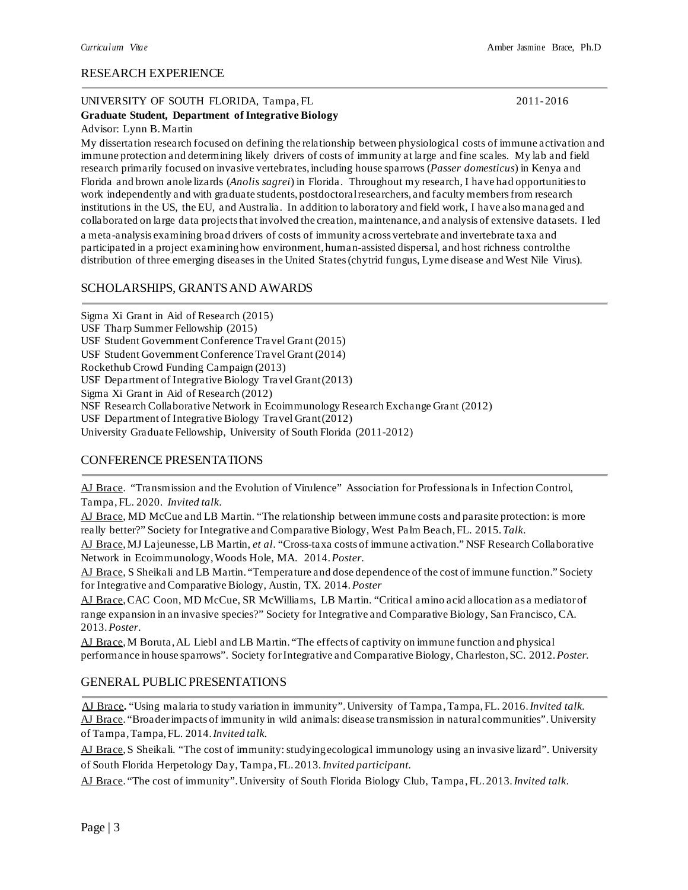#### RESEARCH EXPERIENCE

#### UNIVERSITY OF SOUTH FLORIDA, Tampa, FL 2011-2016

#### **Graduate Student, Department of Integrative Biology** Advisor: Lynn B.Martin

My dissertation research focused on defining the relationship between physiological costs of immune activation and immune protection and determining likely drivers of costs of immunity at large and fine scales. My lab and field research primarily focused on invasive vertebrates,including house sparrows (*Passer domesticus*) in Kenya and Florida and brown anole lizards (*Anolis sagrei*) in Florida. Throughout my research, I have had opportunities to work independently and with graduate students, postdoctoral researchers, and faculty members from research institutions in the US, the EU, and Australia. In addition to laboratory and field work, I have also managed and collaborated on large data projects that involved the creation, maintenance, and analysis of extensive datasets. I led a meta-analysis examining broad drivers of costs of immunity across vertebrate and invertebrate taxa and participated in a project examining how environment, human-assisted dispersal, and host richness controlthe distribution of three emerging diseases in the United States(chytrid fungus, Lyme disease and West Nile Virus).

## SCHOLARSHIPS, GRANTS AND AWARDS

Sigma Xi Grant in Aid of Research (2015) USF Tharp Summer Fellowship (2015) USF Student Government Conference Travel Grant (2015) USF Student Government Conference Travel Grant (2014) Rockethub Crowd Funding Campaign (2013) USF Department of Integrative Biology Travel Grant(2013) Sigma Xi Grant in Aid of Research (2012) NSF Research Collaborative Network in Ecoimmunology Research Exchange Grant (2012) USF Department of Integrative Biology Travel Grant(2012) University Graduate Fellowship, University of South Florida (2011-2012)

## CONFERENCE PRESENTATIONS

AJ Brace. "Transmission and the Evolution of Virulence" Association for Professionals in Infection Control, Tampa, FL. 2020. *Invited talk*.

AJ Brace, MD McCue and LB Martin. "The relationship between immune costs and parasite protection: is more really better?" Society for Integrative and Comparative Biology, West Palm Beach,FL. 2015.*Talk*.

AJ Brace, MJ Lajeunesse,LB Martin, *et al*. "Cross-taxa costs of immune activation." NSF Research Collaborative Network in Ecoimmunology, Woods Hole, MA. 2014. *Poster*.

AJ Brace, S Sheikali and LB Martin. "Temperature and dose dependence of the cost of immune function." Society for Integrative and Comparative Biology, Austin, TX. 2014.*Poster*

AJ Brace, CAC Coon, MD McCue, SR McWilliams, LB Martin. "Critical amino acid allocation as a mediator of range expansion in an invasive species?" Society for Integrative and Comparative Biology, San Francisco, CA. 2013.*Poster*.

AJ Brace, M Boruta,AL Liebl and LB Martin. "The effects of captivity on immune function and physical performance in house sparrows". Society forIntegrative and Comparative Biology, Charleston,SC. 2012.*Poster.*

#### GENERAL PUBLIC PRESENTATIONS

 AJ Brace**.** "Using malaria to study variation in immunity". University of Tampa, Tampa, FL. 2016. *Invited talk.*  AJ Brace. "Broaderimpacts of immunity in wild animals: disease transmission in naturalcommunities".University of Tampa, Tampa, FL. 2014. *Invited talk.*

AJ Brace, S Sheikali. "The cost of immunity: studying ecological immunology using an invasive lizard". University of South Florida Herpetology Day, Tampa,FL. 2013.*Invited participant.*

AJ Brace. "The cost of immunity".University of South Florida Biology Club, Tampa,FL. 2013.*Invited talk*.